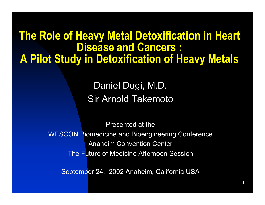#### **The Role of Heavy Metal Detoxification in Heart Disease and Cancers : A Pilot Study in Detoxification of Heavy Metals**

Daniel Dugi, M.D. Sir Arnold Takemoto

Presented at theWESCON Biomedicine and Bioengineering Conference Anaheim Convention Center The Future of Medicine Afternoon Session

September 24, 2002 Anaheim, California USA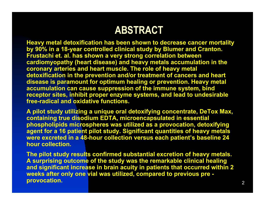#### **ABSTRACT**

**Heavy metal detoxification has been shown to decrease cancer mortality by 90% in a 18-year controlled clinical study by Blumer and Cranton. Frustachi et. al. has shown a very strong correlation between cardiomyopathy (heart disease) and heavy metals accumulation in the coronary arteries and heart muscle. The role of heavy metal detoxification in the prevention and/or treatment of cancers and heart disease is paramount for optimum healing or prevention. Heavy metal accumulation can cause suppression of the immune system, bind receptor sites, inhibit proper enzyme systems, and lead to undesirable free-radical and oxidative functions.**

**A pilot study utilizing a unique oral detoxifying concentrate, DeTox Max, containing true disodium EDTA, microencapsulated in essential phospholipids microspheres was utilized as a provocation, detoxifying agent for a 16 patient pilot study. Significant quantities of heavy metals were excreted in a 48-hour collection versus each patient's baseline 24 hour collection.**

**The pilot study results confirmed substantial excretion of heavy metals. A surprising outcome of the study was the remarkable clinical healing and significant increase in brain acuity in patients that occurred within 2 weeks after only one vial was utilized, compared to previous pre provocation.**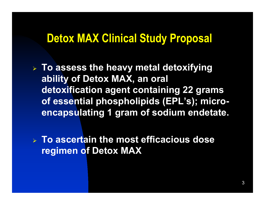#### **Detox MAX Clinical Study Proposal**

- ¾ **To assess the heavy metal detoxifying ability of Detox MAX, an oral detoxification agent containing 22 grams of essential phospholipids (EPL's); microencapsulating 1 gram of sodium endetate.**
- ¾ **To ascertain the most efficacious dose regimen of Detox MAX**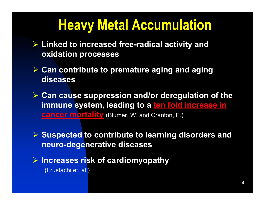## **Heavy Metal Accumulation**

- ¾ **Linked to increased free-radical activity and oxidation processes**
- ¾ **Can contribute to premature aging and aging diseases**
- ¾ **Can cause suppression and/or deregulation of the immune system, leading to a ten fold increase in cancer mortality** (Blumer, W. and Cranton, E.)
- ¾ **Suspected to contribute to learning disorders and neuro-degenerative diseases**
- ¾ **Increases risk of cardiomyopathy** (Frustachi et. al.)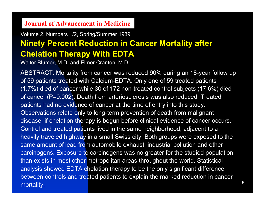#### Volume 2, Numbers 1/2, Spring/Summer 1989 **Ninety Percent Reduction in Cancer Mortality after Chelation Therapy With EDTA**

Walter Blumer, M.D. and Elmer Cranton, M.D.

ABSTRACT: Mortality from cancer was reduced 90% during an 18-year follow up of 59 patients treated with Calcium-EDTA. Only one of 59 treated patients (1.7%) died of cancer while 30 of 172 non-treated control subjects (17.6%) died of cancer (P=0.002). Death from arteriosclerosis was also reduced. Treated patients had no evidence of cancer at the time of entry into this study. Observations relate only to long-term prevention of death from malignant disease, if chelation therapy is begun before clinical evidence of cancer occurs. Control and treated patients lived in the same neighborhood, adjacent to a heavily traveled highway in a small Swiss city. Both groups were exposed to the same amount of lead from automobile exhaust, industrial pollution and other carcinogens. Exposure to carcinogens was no greater for the studied population than exists in most other metropolitan areas throughout the world. Statistical analysis showed EDTA chelation therapy to be the only significant difference between controls and treated patients to explain the marked reduction in cancer mortality.

5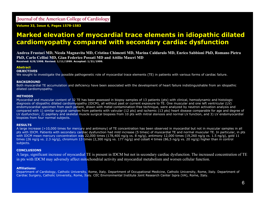**Volume 33, Issue 6, Pages 1578-1583**

#### **Marked elevation of myocardial trace elements in idiopathic dilated cardiomyopathy compared with secondary cardiac dysfunction**

**Andrea Frustaci MD, Nicola Magnavita MD, Cristina Chimenti MD, Marina Caldarulo MD, Enrico Sabbioni PhD, Romano Pietra PhD, Carlo Cellini MD, Gian Federico Possati MD and Attilio Maseri MD Received: 6/8/1998. Revised: 1/11/1999. Accepted: 1/21/1999.**

#### **AbstractOBJECTIVES**

We sought to investigate the possible pathogenetic role of myocardial trace elements (TE) in patients with various forms of cardiac failure.

#### **BACKGROUND**

Both myocardial TE accumulation and deficiency have been associated with the development of heart failure indistinguishable from an idiopathic dilated cardiomyopathy.

#### **METHODS**

Myocardial and muscular content of 32 TE has been assessed in biopsy samples of 13 patients (pts) with clinical, hemodynamic and histologic diagnosis of idiopathic dilated cardiomyopathy (IDCM), all without past or current exposure to TE. One muscular and one left ventricular (LV) endomyocardial specimen from each patient, drawn with metal contamination-free technique, were analyzed by neutron activation analysis and compared with 1) similar surgical samples from patients with valvular (12 pts) and ischemic (13 pts) heart disease comparable for age and degree of LV dysfunction; 2) papillary and skeletal muscle surgical biopsies from 10 pts with mitral stenosis and normal LV function, and 3) LV endomyocardial biopsies from four normal subjects.

#### **RESULTS**

A large increase (>10,000 times for mercury and antimony) of TE concentration has been observed in myocardial but not in muscular samples in all pts with IDCM. Patients with secondary cardiac dysfunction had mild increase (5 times) of myocardial TE and normal muscular TE. In particular, in pts with IDCM mean mercury concentration was 22,000 times (178,400 ng/g vs. 8 ng/g), antimony 12,000 times (19,260 ng/g vs. 1.5 ng/g), gold 11 times (26 ng/g vs. 2.3 ng/g), chromium 13 times (2,300 ng/g vs. 177 ng/g) and cobalt 4 times (86,5 ng/g vs. 20 ng/g) higher than in control subjects.

#### **CONCLUSIONS**

A large, significant increase of myocardial TE is present in IDCM but not in secondary cardiac dysfunction. The increased concentration of TE in pts with IDCM may adversely affect mitochondrial activity and myocardial metabolism and worsen cellular function.

#### **Affiliations:**

Department of Cardiology, Catholic University, Rome, Italy. Department of Occupational Medicine, Catholic University, Rome, Italy. Department of Cardiac Surgery, Catholic University, Rome, Italy. CEC Environmental Institute Joint Research Center Ispra (VA), Rome, Italy.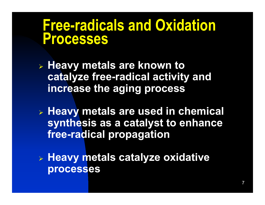## **Free-radicals and Oxidation Processes**

- ¾ **Heavy metals are known to catalyze free-radical activity and increase the aging process**
- ¾ **Heavy metals are used in chemical synthesis as a catalyst to enhance free-radical propagation**

¾ **Heavy metals catalyze oxidative processes**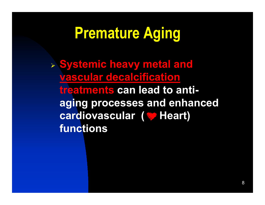## **Premature Aging**

¾ **Systemic heavy metal and vascular decalcification treatments can lead to antiaging processes and enhanced cardiovascular ( Heart) functions**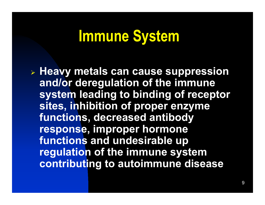## **Immune System**

¾ **Heavy metals can cause suppression and/or deregulation of the immune system leading to binding of receptor sites, inhibition of proper enzyme functions, decreased antibody response, improper hormone functions and undesirable up regulation of the immune system contributing to autoimmune disease**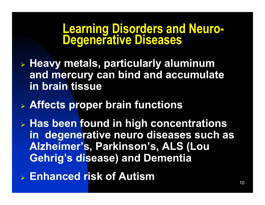# **Learning Disorders and Neuro- Degenerative Diseases**

- ¾ **Heavy metals, particularly aluminum and mercury can bind and accumulate in brain tissue**
- ¾ **Affects proper brain functions**
- ¾ **Has been found in high concentrations in degenerative neuro diseases such as Alzheimer's, Parkinson's, ALS (Lou Gehrig's disease) and Dementia**
- ¾ **Enhanced risk of Autism**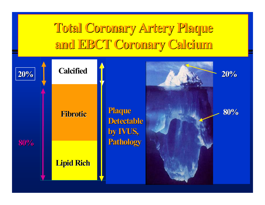## **Total Coronary Artery Plaque and EBCT Coronary Calcium**

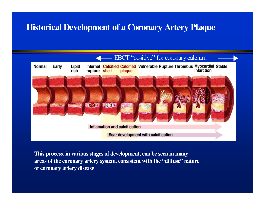#### **Historical Development of a Coronary Artery Plaque**



**This process, in various stages of development, can be seen in many areas of the coronary artery system, consistent with the "diffuse" nature of coronary artery disease**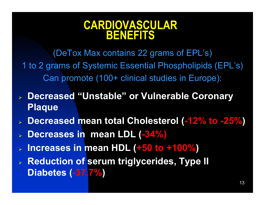#### **CARDIOVASCULAR BENEFITS**

(DeTox Max contains 22 grams of EPL's) 1 to 2 grams of Systemic Essential Phospholipids (EPL's) Can promote (100+ clinical studies in Europe):

- ¾ **Decreased "Unstable" or Vulnerable Coronary Plaque**
- ¾ **Decreased mean total Cholesterol (-12% to -25% )**
- ¾**Decreases in mean LDL (-34%)**
- $\blacktriangleright$ **Increases in mean HDL (+50 to +100% )**
- ¾ **Reduction of serum triglycerides, Type II Diabetes (-37.7% )**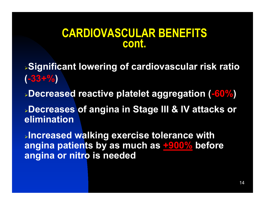#### **CARDIOVASCULAR BENEFITS cont.**

- <sup>¾</sup>**Significant lowering of cardiovascular risk ratio (-33+% )**
- <sup>¾</sup>**Decreased reactive platelet aggregation (-60% )**
- <sup>¾</sup>**Decreases of angina in Stage III & IV attacks or elimination**

<sup>¾</sup>**Increased walking exercise tolerance with angina patients by as much as +900% before angina or nitro is needed**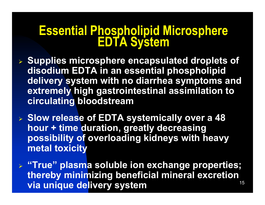# **Essential Phospholipid Microsphere EDTA System**

- ¾ **Supplies microsphere encapsulated droplets of disodium EDTA in an essential phospholipid delivery system with no diarrhea symptoms and extremely high gastrointestinal assimilation to circulating bloodstream**
- ¾ **Slow release of EDTA systemically over a 48 hour + time duration, greatly decreasing possibility of overloading kidneys with heavy metal toxicity**
- 15¾ **"True" plasma soluble ion exchange properties; thereby minimizing beneficial mineral excretion via unique delivery system**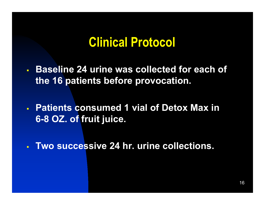### **Clinical Protocol**

- **Baseline 24 urine was collected for each of the 16 patients before provocation.**
- **Patients consumed 1 vial of Detox Max in 6-8 OZ. of fruit juice.**
- **Two successive 24 hr. urine collections.**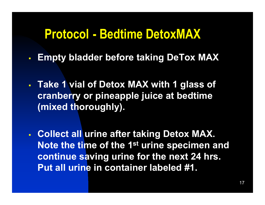## **Protocol - Bedtime DetoxMAX**

- Г **Empty bladder before taking DeTox MAX**
- Г **Take 1 vial of Detox MAX with 1 glass of cranberry or pineapple juice at bedtime (mixed thoroughly).**
- **Collect all urine after taking Detox MAX. Note the time of the 1st urine specimen and continue saving urine for the next 24 hrs. Put all urine in container labeled #1.**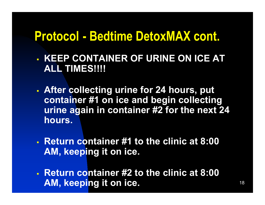## **Protocol - Bedtime DetoxMAX cont.**

- **KEEP CONTAINER OF URINE ON ICE AT ALL TIMES!!!!**
- **After collecting urine for 24 hours, put container #1 on ice and begin collecting urine again in container #2 for the next 24 hours.**
- **Return container #1 to the clinic at 8:00 AM, keeping it on ice.**
- **Return container #2 to the clinic at 8:00 AM, keeping it on ice.**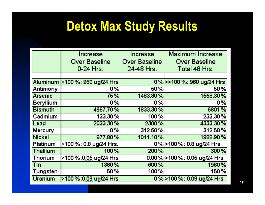## **Detox Max Study Results**

|                 | Increase<br>Over Baseline<br>0-24 Hrs. | Increase<br>Over Baseline<br>24-48 Hrs. | Maximum Increase<br>Over Baseline<br>Total 48 Hrs. |
|-----------------|----------------------------------------|-----------------------------------------|----------------------------------------------------|
|                 |                                        |                                         |                                                    |
|                 | Aluminum > 100 %: 960 ug/24 Hrs        |                                         | 0% >>100 %: 960 ug/24 Hrs                          |
| Antimony        | 0%                                     | 50%                                     | 50%                                                |
| <b>Arsenic</b>  | 75%                                    | 1483.30%                                | 1558.30%                                           |
| Beryllium       | 0%                                     | 0%                                      | 0%                                                 |
| <b>Bismuth</b>  | 4967.70%                               | 1833.30%                                | 6801%                                              |
| Cadmium         | 133.30%                                | 100%                                    | 233.30%                                            |
| Lead            | 2033.30%                               | 2300 %                                  | 4333.30%                                           |
| Mercury         | 0%                                     | 312.50%                                 | 312.50%                                            |
| <b>Nickel</b>   | 977.80%                                | 1011.10%                                | 1988.90%                                           |
| Platinum        | >100 %: 0.8 ug/24 Hrs.                 |                                         | 0% > 100%: 0.8 ug/24 Hrs                           |
| <b>Thallium</b> | 100%                                   | 200%                                    | 300 %                                              |
| <b>Thorium</b>  | >100 %:0.05 ug/24 Hrs                  |                                         | 0.00% > 100%: 0.05 ug/24 Hrs                       |
| Tin             | 1380%                                  | 600%                                    | 1980%                                              |
| Tungsten        | 50%                                    | 100%                                    | 150 %                                              |
| <b>Uranium</b>  | 5100 %:0.09 ug/24 Hrs                  |                                         | 0% >100%: 0.09 ug/24 Hrs                           |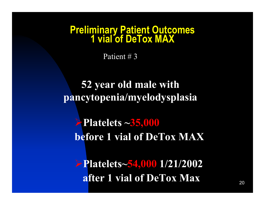Patient # 3

**52 year old male with pancytopenia/myelodysplasia**

¾**Platelets ~35,000 before 1 vial of DeTox MAX**

¾**Platelets~54,000 1/21/2002 after 1 vial of DeTox Max**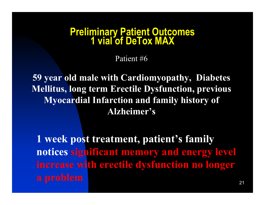Patient #6

**59 year old male with Cardiomyopathy, Diabetes Mellitus, long term Erectile Dysfunction, previous Myocardial Infarction and family history of Alzheimer's** 

**1 week post treatment, patient's family notices significant memory and energy level increase with erectile dysfunction no longer**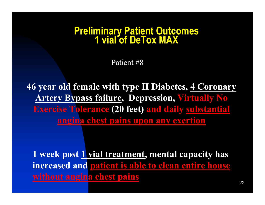Patient #8

**46 year old female with type II Diabetes, 4 Coronary Artery Bypass failure, Depression, Virtually No Exercise Tolerance (20 feet) and daily substantial angina chest pains upon any exertion**

**1 week post 1 vial treatment, mental capacity has increased and patient is able to clean entire house without angina chest pains**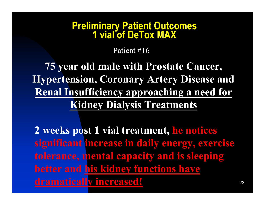#### Patient #16

**75 year old male with Prostate Cancer, Hypertension, Coronary Artery Disease and Renal Insufficiency approaching a need for Kidney Dialysis Treatments**

**2 weeks post 1 vial treatment, he notices significant increase in daily energy, exercise tolerance, mental capacity and is sleeping better and his kidney functions have dramatically increased!**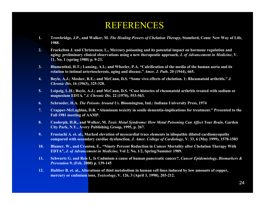#### REFERENCES

- **1. Trowbridge, J.P., and Walker, M.** *The Healing Powers of Chelation Therapy***, Stamford, Conn: New Way of Life, 1988.**
- **2. Frackelton J. and Christensen, L., Mercury poisoning and its potential impact on hormone regulation and aging: preliminary clinical observations using a new therapeutic approach***, J. of Advancement in Medicine***, V. 11, No. 1 (spring 1980) p. 9-23.**
- **3. Blumenthal, H.T.; Lansing, A.I.; and Wheeler, P.A. "Calcification of the media of the human aorta and its relation to intimal arteriosclerosis, aging and disease."** *Amer. J. Path***. 20 (1944), 665.**
- **4. Boyle, A.J.; Mosher, R.E.; and McCann, D.S. "Some vivo effects of chelation. 1: Rheumatoid arthritis."** *J. Chronic Dis***. 16 (1963), 325-328.**
- **5. Leipzig, L.H.; Boyle, A.J.; and McCann, D.S. "Case histories of rheumatoid arthritis treated with sodium or magnesium EDTA***." J. Chronic Dis***. 22 (1970), 553-563.**
- **6.Schroeder, H.A.** *The Poisons Around Us***. Bloomington, Ind.: Indiana University Press, 1974**
- **7. Crapper-McLaghlan, D.R. "Aluminum toxicity in senile dementia-implications for treatment." Presented to the Fall 1981 meeting of AAMP.**
- **8. Casdorph, H.R., and Walker, M.** *Toxic Metal Syndrome: How Metal Poisoning Can Affect Your Brain***. Garden City Park, N.Y., Avery Publishing Group, 1995, p. 267.**
- **9. Frustachi A. et. al., Marked elevation of myocardial trace elements in idiopathic dilated cardiomyopathy compared with secondary cardiac dysfunction***, J. Amer. College of Cardiology***, V. 33, 6 (May 1999), 1578-1583**
- **10. Blumer, W., and Cranton, E., "Ninety Percent Reduction in Cancer Mortality after Chelation Therapy With EDTA",** *J. of Advancement in Medicine,* **Vol 2, No, 1/2, Spring/Summer 1989.**
- **11. Schwartz G. and Reis I., Is Cadmium a cause of human pancreatic cancer?,** *Cancer Epidemiology***,** *Biomarkers & Prevention* **9, (Feb. 2000) p. 139-145**
- **12. Hultber B. et. al., Alterations of thiol metabolism in human cell lines induced by low amounts of copper, mercury or cadmium ions,** *Toxicology***, V. 126, 3 (April 3, 1998), 203-212.**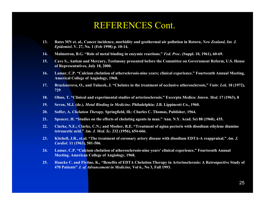#### REFERENCES Cont.

- **13. Bates MN et. al., Cancer incidence, morbidity and geothermal air poll ution in Rotoru,** *New Zealand, Int. J. Epidemiol***. V. 27, No. 1 (Feb 1998) p. 10-14.**
- **14.Malmstron, B.G. "Role of metal binding in enzymic reactions."** *Fed. Proc***. (Sup pl. 10, 1961), 60-69.**
- **15. Cave S., Autism and Mer cury, Testimony presented before the Committee on Government Reform, U.S. House of Representatives, July 18, 2000.**
- **16. Lamar, C.P. "Calcium chelation of athersclerosis-nine years; clinical experience." Fourteenth An n ual Meeting, Americal College of Angiology, 1968.**
- **17. Brucknerova, O., and Tulacek, J. "Chelates in the treatment of occlusive atherosclerosis,"** *Vnitr. Lek***. 18 (1972), 729**
- **18.Ohno, T. "Clinical and experimental stu dies of arteriosclerosis." Exce rpta Medica:** *Intern. Med***. 17 (1963), 8**
- **19.Seven, M.J. (de.).** *Metal Binding in Medicine***. Philadelphia: J.B. Lippin cott Co., 1960.**
- **20.Soffer, A.** *Chelation Therapy.* **Springfield, Ill.: Charles C. Thomas, Publisher, 1964.**
- **21.Spencer, H. "Studies o n the effects of chelating agents in man." Ann. N.Y. Acad. Sci 88 (1960), 435.**
- **22. Clarke, N.E.; Clarke, C.N.; and Mosher, R.E. "Tr eatment of agina pectoris with disodium eth ylene diamine tetraacetic acid."** *Am. J. Med. Sc***. 232 (1956), 654-666.**
- **23. Kitchell, J.R., et.al. "The treatment of coron ary artery disease with disodium EDTA-A reappraisal."** *Am. J. Cardiol***. 11 (1963), 501-506.**
- **24. Lamar, C.P. "Calcium chelation of atheroscler osis-nine years' clinical experienc e." Fourteenth An n ual Meeting. American College of Angiology, 1968.**
- **25. Hancke C. and Flytine, K., "Benefits of EDTA Chelation Therapy in A rteriosclerosis: A Retrospective Stu dy of 470 Patients"** *J. of Advancement in Medicine,* **Vol 6., No 3, Fall 1993.**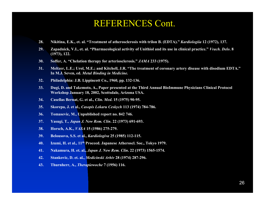#### REFERENCES Cont.

- **28.Nikitina, E.K., et. al. "Tr eatment of atherosclerosis with trilon B. (EDTA)."** *Kar diologiia* **12 (1972), 137.**
- **29.Z apadnick, V.I., et. al. "Pharmacological activity of Unithiol and its use in clinical practic e."** *Vrach. Delo***. 8 (1973), 122.**
- **30.Soffer, A. "Chelation therapy for arterioscle r osis."** *JAMA* **233 (1975).**
- **31. Melt z e r, L.E.; Urol, M.E.; and Kitchell, J.R. "The treatment of coronary artery disease with disodium EDTA." In M.J. Seven, ed.** *Metal Binding in Medicine.*
- **32.Philadelphia: J.B. Lippincott Co., 1960, pp. 132-136.**
- **33.**. Dugi, D. and Takemoto, A., Paper presented at the Third Annual BioImmune Physicians Clinical Protocol **Workshop January 18, 2002, Scottsdale, Ari zona USA.**
- **34.Casellas Bernat, G. et al.,** *Clin. Med***. 15 (1975) 90-95.**
- **35.S korepa, J. et al.,** *Casopis Lekaru Ceskych* **113 (1974) 784-786.**
- **36.Tomasevic, M., Unpublished report no. 842 746.**
- **37.Yasugi, T***., Japan J. New Rem. Clin***. 22 (1973) 691-693.**
- **38.Horsch, A.K.,** *VASA* **15 (1986) 275-279.**
- **39.Belousova, S.S. et al.,** *Kardiologiva* **25 (1985) 112-115.**
- **40.Izumi, H. et al., 11<sup>th</sup> Proceed. Japanese Atheroscl. Soc., Tokyo 1979.**
- **41.Nakamura, H. et. al.,** *Japan J. New Rem. Clin***. 22 (1973) 1565-1574.**
- **42.Stankovic, D. et. al.,** *Medicinski Arhiv* **28 (1974) 287-296.**
- **43.Thurnherr, A.,** *Therapiewoche* **7 (1956) 116.**